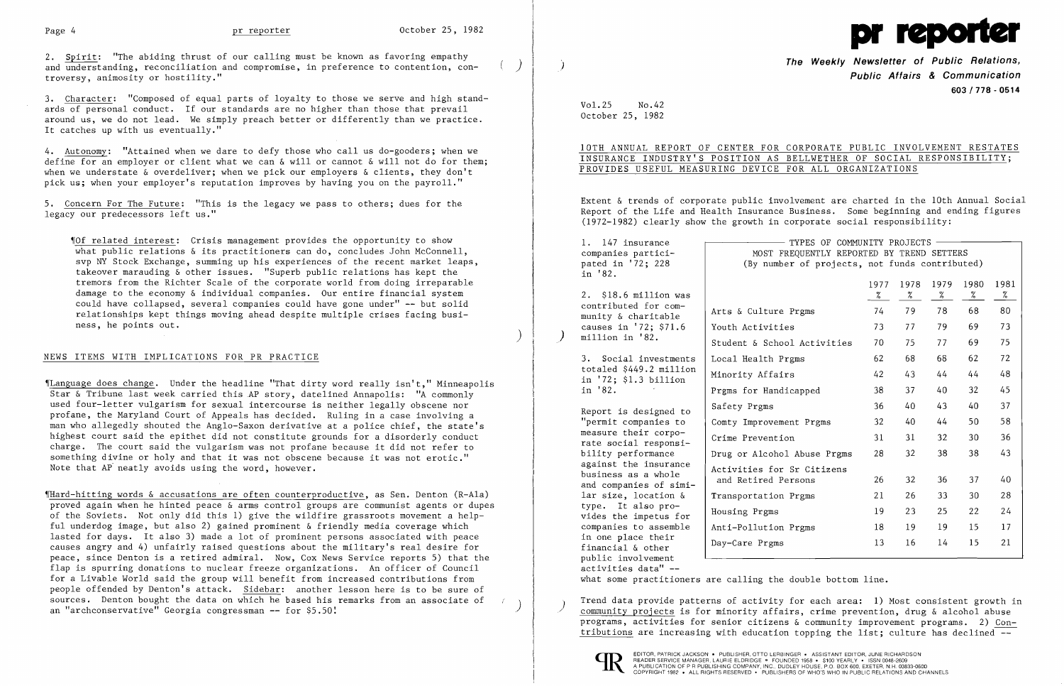

2. Spirit: "The abiding thrust of our calling must be known as favoring empathy and understanding, reconciliation and compromise, in preference to contention,  $con$ troversy, animosity or hostility."

3. Character: "Composed of equal parts of loyalty to those we serve and high standards of personal conduct. If our standards are no higher than those that prevail around us, we do not lead. We simply preach better or differently than we practice. It catches up with us eventually."

4. Autonomy: "Attained when we dare to defy those who call us do-gooders; when we define for an employer or client what we can & will or cannot & will not do for them; when we understate & overdeliver; when we pick our employers & clients, they don't pick us; when your employer's reputation improves by having you on the payroll."

~ILanguage does change. Under the headline "That dirty word really isn't," Minneapolis Star & Tribune last week carried this AP story, datelined Annapolis: "A commonly used four-letter vulgarism for sexual intercourse is neither legally obscene nor profane, the Maryland Court of Appeals has decided. Ruling in a case involving a man who allegedly shouted the Anglo-Saxon derivative at a police chief, the state's highest court said the epithet did not constitute grounds for a disorderly conduct charge. The court said the vulgarism was not profane because it did not refer to something divine or holy and that it was not obscene because it was not erotic." Note that AP neatly avoids using the word, however.

5. Concern For The Future: "This is the legacy we pass to others; dues for the legacy our predecessors left us."

~IHard-hitting words & accusations are often counterproductive, as Sen. Denton (R-Ala) proved again when he hinted peace & arms control groups are communist agents or dupes of the Soviets. Not only did this 1) give the wildfire grassroots movement a helpful underdog image, but also 2) gained prominent & friendly media coverage which lasted for days. It also 3) made a lot of prominent persons associated with peace causes angry and 4) unfairly raised questions about the military's real desire for peace, since Denton is a retired admiral. Now, Cox News Service reports 5) that the flap is spurring donations to nuclear freeze organizations. An officer of Council for a Livable World said the group will benefit from increased contributions from people offended by Denton's attack. Sidebar: another lesson here is to be sure of sources. Denton bought the data on which he based his remarks from an associate of an "archconservative" Georgia congressman -- for \$5.50!

~IOf related interest: Crisis management provides the opportunity to show what public relations & its practitioners can do, concludes John McConnell, svp NY Stock Exchange, summing up his experiences of the recent market leaps, takeover marauding & other issues. "Superb public relations has kept the tremors from the Richter Scale of the corporate world from doing irreparable damage to the economy & individual companies. Our entire financial system could have collapsed, several companies could have gone under" -- but solid relationships kept things moving ahead despite multiple crises facing business, he points out.

)

 $\left( \begin{array}{c} \end{array} \right)$ 

## NEWS ITEMS WITH IMPLICATIONS FOR PR PRACTICE

Arts & Culture Youth Activities Student & School Local Health Prg Minority Affairs Prgms for Handi Safety Prgms Comty Improveme Crime Prevention Drug or Alcohol Activities for and Retired Pe Transportation Housing Prgms Anti-Pollution Day-Care Prgms

## **The Weekly Newsletter of Public Relations,** ) **Public Affairs & Communication 603/778 - 0514**

Vol. 25 No. 42 October 25, 1982

10TH ANNUAL REPORT OF CENTER FOR CORPORATE PUBLIC INVOLVEMENT RESTATES INSURANCE INDUSTRY'S POSITION AS BELLWETHER OF SOCIAL RESPONSIBILITY;

# PROVIDES USEFUL MEASURING DEVICE FOR ALL ORGANIZATIONS

Extent & trends of corporate public involvement are charted in the 10th Annual Social Report of the Life and Health Insurance Business. Some beginning and ending figures (1972-1982) clearly show the growth in corporate social responsibility:

1. 147 insurance companies participated in '72; 228 in '82.

2. \$18.6 million was contributed for community & charitable causes in '72; \$71.6 ) million in '82.

3. Social investments totaled \$449.2 million in '72; \$1.3 billion in '82.

Report is designed to "permit companies to measure their corporate social responsibility performance against the insurance business as a whole and companies of similar size, location & type. It also provides the impetus for companies to assemble in one place their financial & other public involvement activities data" -

TYPES OF COMMUNITY PROJECTS MOST FREQUENTLY REPORTED BY TREND SETTERS (By number of projects, not funds contributed)

|                      | 1977<br>% | 1978<br>% | 1979<br>℅ | 1980<br>% | 1981<br>% |
|----------------------|-----------|-----------|-----------|-----------|-----------|
| Prgms                | 74        | 79        | 78        | 68        | 80        |
| 'S                   | 73        | 77        | 79        | 69        | 73        |
| 1 Activities         | 70        | 75        | 77        | 69        | 75        |
| gms                  | 62        | 68        | 68        | 62        | 72        |
| 'S                   | 42        | 43        | 44        | 44        | 48        |
| capped.              | 38        | 37        | 40        | 32        | 45        |
|                      | 36        | 40        | 43        | 40        | 37        |
| nt Prgms             | 32        | 40        | 44        | 50        | 58        |
| n                    | 31        | 31        | 32        | 30        | 36        |
| Abuse Prgms          | 28        | 32        | 38        | 38        | 43        |
| Sr Citizens<br>rsons | 26        | 32        | 36        | 37        | 40        |
| Prgms                | 21        | 26        | 33        | 30        | 28        |
|                      | 19        | 23        | 25        | 22        | 24        |
| Prgms                | 18        | 19        | 19        | 15        | 17        |
|                      | 13        | 16        | 14        | 15        | 21        |
|                      |           |           |           |           |           |

what some practitioners are calling the double bottom line.

Trend data provide patterns of activity for each area: 1) Most consistent growth in community projects is for minority affairs, crime prevention, drug & alcohol abuse programs, activities for senior citizens & community improvement programs. 2) Contributions are increasing with education topping the list; culture has declined  $-\frac{1}{2}$